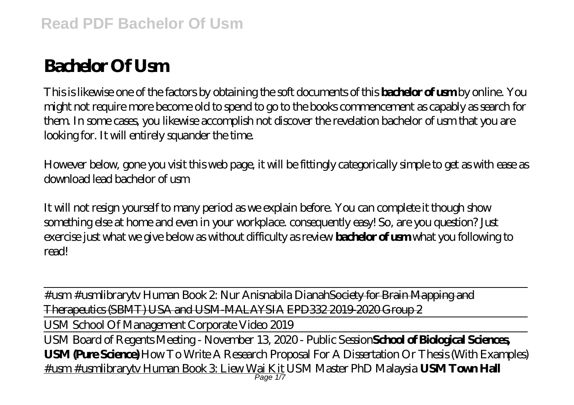# **Bachelor Of Usm**

This is likewise one of the factors by obtaining the soft documents of this **bachelor of usm** by online. You might not require more become old to spend to go to the books commencement as capably as search for them. In some cases, you likewise accomplish not discover the revelation bachelor of usm that you are looking for. It will entirely squander the time.

However below, gone you visit this web page, it will be fittingly categorically simple to get as with ease as download lead bachelor of usm

It will not resign yourself to many period as we explain before. You can complete it though show something else at home and even in your workplace. consequently easy! So, are you question? Just exercise just what we give below as without difficulty as review **bachelor of usm** what you following to read!

#usm #usmlibrarytv Human Book 2: Nur Anisnabila DianahSociety for Brain Mapping and Therapeutics (SBMT) USA and USM-MALAYSIA EPD332 2019-2020 Group 2

USM School Of Management Corporate Video 2019

USM Board of Regents Meeting - November 13, 2020 - Public Session**School of Biological Sciences, USM (Pure Science)** How To Write A Research Proposal For A Dissertation Or Thesis (With Examples) #usm #usmlibrarytv Human Book 3: Liew Wai Kit *USM Master PhD Malaysia* **USM Town Hall** Page 1/7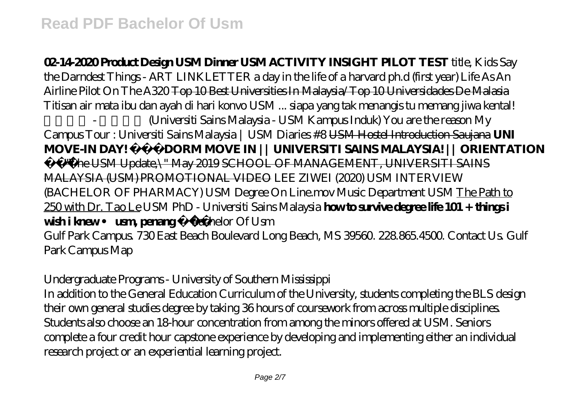**02-14-2020 Product Design USM Dinner USM ACTIVITY INSIGHT PILOT TEST** *title, Kids Say the Darndest Things - ART LINKLETTER a day in the life of a harvard ph.d (first year) Life As An Airline Pilot On The A320* Top 10 Best Universities In Malaysia/Top 10 Universidades De Malasia *Titisan air mata ibu dan ayah di hari konvo USM ... siapa yang tak menangis tu memang jiwa kental! 理科大学 - 理大总校 (Universiti Sains Malaysia - USM Kampus Induk) You are the reason My Campus Tour : Universiti Sains Malaysia | USM Diaries #8* USM Hostel Introduction Saujana **UNI MOVE-IN DAY! DORM MOVE IN || UNIVERSITI SAINS MALAYSIA! || ORIENTATION** \"The USM Update,\" May 2019 SCHOOL OF MANAGEMENT, UNIVERSITI SAINS MALAYSIA (USM) PROMOTIONAL VIDEO *LEE ZIWEI (2020) USM INTERVIEW (BACHELOR OF PHARMACY)* USM Degree On Line.mov *Music Department USM* The Path to 250 with Dr. Tao Le USM PhD - Universiti Sains Malaysia **how to survive degree life 101 + things i wish i knew • usm, penang** *Bachelor Of Usm* Gulf Park Campus. 730 East Beach Boulevard Long Beach, MS 39560. 228.865.4500. Contact Us. Gulf Park Campus Map

## *Undergraduate Programs - University of Southern Mississippi*

In addition to the General Education Curriculum of the University, students completing the BLS design their own general studies degree by taking 36 hours of coursework from across multiple disciplines. Students also choose an 18-hour concentration from among the minors offered at USM. Seniors complete a four credit hour capstone experience by developing and implementing either an individual research project or an experiential learning project.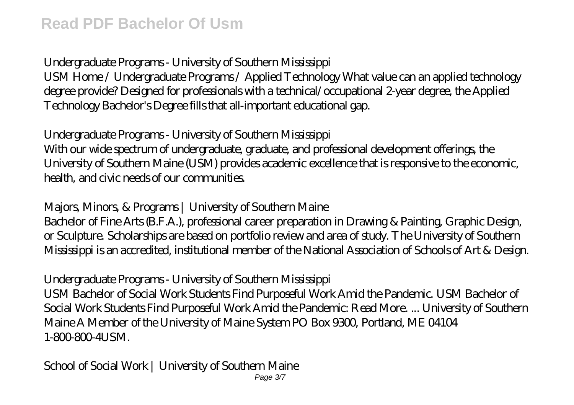# *Undergraduate Programs - University of Southern Mississippi*

USM Home / Undergraduate Programs / Applied Technology What value can an applied technology degree provide? Designed for professionals with a technical/occupational 2-year degree, the Applied Technology Bachelor's Degree fills that all-important educational gap.

# *Undergraduate Programs - University of Southern Mississippi*

With our wide spectrum of undergraduate, graduate, and professional development offerings, the University of Southern Maine (USM) provides academic excellence that is responsive to the economic, health, and civic needs of our communities.

# *Majors, Minors, & Programs | University of Southern Maine*

Bachelor of Fine Arts (B.F.A.), professional career preparation in Drawing & Painting, Graphic Design, or Sculpture. Scholarships are based on portfolio review and area of study. The University of Southern Mississippi is an accredited, institutional member of the National Association of Schools of Art & Design.

# *Undergraduate Programs - University of Southern Mississippi*

USM Bachelor of Social Work Students Find Purposeful Work Amid the Pandemic. USM Bachelor of Social Work Students Find Purposeful Work Amid the Pandemic: Read More. ... University of Southern Maine A Member of the University of Maine System PO Box 9300, Portland, ME 04104 1-800-800-41 ISM.

# *School of Social Work | University of Southern Maine*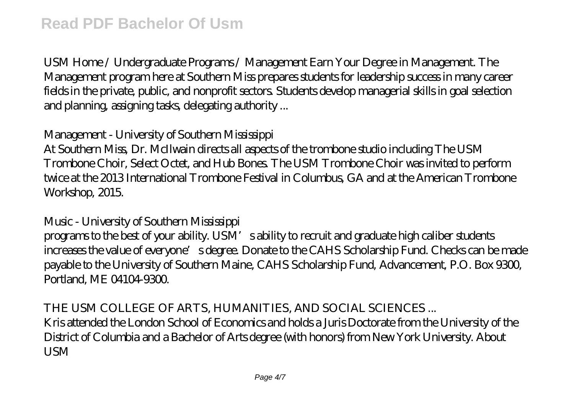USM Home / Undergraduate Programs / Management Earn Your Degree in Management. The Management program here at Southern Miss prepares students for leadership success in many career fields in the private, public, and nonprofit sectors. Students develop managerial skills in goal selection and planning, assigning tasks, delegating authority ...

## *Management - University of Southern Mississippi*

At Southern Miss, Dr. McIlwain directs all aspects of the trombone studio including The USM Trombone Choir, Select Octet, and Hub Bones. The USM Trombone Choir was invited to perform twice at the 2013 International Trombone Festival in Columbus, GA and at the American Trombone Workshop, 2015.

## *Music - University of Southern Mississippi*

programs to the best of your ability. USM's ability to recruit and graduate high caliber students increases the value of everyone's degree. Donate to the CAHS Scholarship Fund. Checks can be made payable to the University of Southern Maine, CAHS Scholarship Fund, Advancement, P.O. Box 9300, Portland, ME 04104-9300.

## *THE USM COLLEGE OF ARTS, HUMANITIES, AND SOCIAL SCIENCES ...*

Kris attended the London School of Economics and holds a Juris Doctorate from the University of the District of Columbia and a Bachelor of Arts degree (with honors) from New York University. About **I**ISM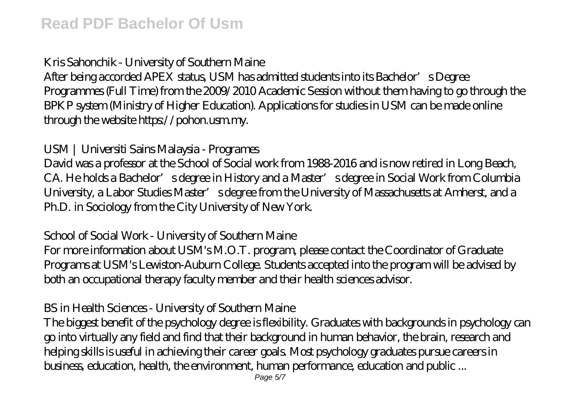## *Kris Sahonchik - University of Southern Maine*

After being accorded APEX status, USM has admitted students into its Bachelor's Degree Programmes (Full Time) from the 2009/2010 Academic Session without them having to go through the BPKP system (Ministry of Higher Education). Applications for studies in USM can be made online through the website https://pohon.usm.my.

## *USM | Universiti Sains Malaysia - Programes*

David was a professor at the School of Social work from 1988-2016 and is now retired in Long Beach, CA. He holds a Bachelor's degree in History and a Master's degree in Social Work from Columbia University, a Labor Studies Master's degree from the University of Massachusetts at Amherst, and a Ph.D. in Sociology from the City University of New York.

## *School of Social Work - University of Southern Maine*

For more information about USM's M.O.T. program, please contact the Coordinator of Graduate Programs at USM's Lewiston-Auburn College. Students accepted into the program will be advised by both an occupational therapy faculty member and their health sciences advisor.

#### *BS in Health Sciences - University of Southern Maine*

The biggest benefit of the psychology degree is flexibility. Graduates with backgrounds in psychology can go into virtually any field and find that their background in human behavior, the brain, research and helping skills is useful in achieving their career goals. Most psychology graduates pursue careers in business, education, health, the environment, human performance, education and public ...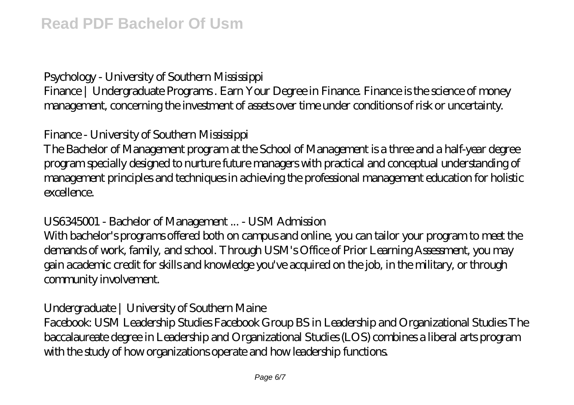# *Psychology - University of Southern Mississippi*

Finance | Undergraduate Programs. Earn Your Degree in Finance. Finance is the science of money management, concerning the investment of assets over time under conditions of risk or uncertainty.

## *Finance - University of Southern Mississippi*

The Bachelor of Management program at the School of Management is a three and a half-year degree program specially designed to nurture future managers with practical and conceptual understanding of management principles and techniques in achieving the professional management education for holistic excellence.

## *US6345001 - Bachelor of Management ... - USM Admission*

With bachelor's programs offered both on campus and online, you can tailor your program to meet the demands of work, family, and school. Through USM's Office of Prior Learning Assessment, you may gain academic credit for skills and knowledge you've acquired on the job, in the military, or through community involvement.

## *Undergraduate | University of Southern Maine*

Facebook: USM Leadership Studies Facebook Group BS in Leadership and Organizational Studies The baccalaureate degree in Leadership and Organizational Studies (LOS) combines a liberal arts program with the study of how organizations operate and how leadership functions.